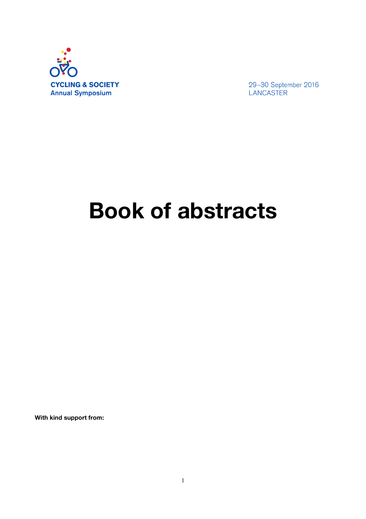

29-30 September 2016 LANCASTER

# **Book of abstracts**

**With kind support from:**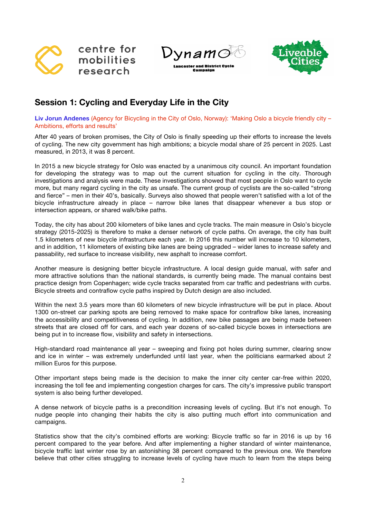

ynamo

**Lancaster and Bistrict Cycle** 

Camnaign



# **Session 1: Cycling and Everyday Life in the City**

**Liv Jorun Andenes** (Agency for Bicycling in the City of Oslo, Norway): 'Making Oslo a bicycle friendly city – Ambitions, efforts and results'

After 40 years of broken promises, the City of Oslo is finally speeding up their efforts to increase the levels of cycling. The new city government has high ambitions; a bicycle modal share of 25 percent in 2025. Last measured, in 2013, it was 8 percent.

In 2015 a new bicycle strategy for Oslo was enacted by a unanimous city council. An important foundation for developing the strategy was to map out the current situation for cycling in the city. Thorough investigations and analysis were made. These investigations showed that most people in Oslo want to cycle more, but many regard cycling in the city as unsafe. The current group of cyclists are the so-called "strong and fierce" – men in their 40's, basically. Surveys also showed that people weren't satisfied with a lot of the bicycle infrastructure already in place – narrow bike lanes that disappear whenever a bus stop or intersection appears, or shared walk/bike paths.

Today, the city has about 200 kilometers of bike lanes and cycle tracks. The main measure in Oslo's bicycle strategy (2015-2025) is therefore to make a denser network of cycle paths. On average, the city has built 1.5 kilometers of new bicycle infrastructure each year. In 2016 this number will increase to 10 kilometers, and in addition, 11 kilometers of existing bike lanes are being upgraded – wider lanes to increase safety and passability, red surface to increase visibility, new asphalt to increase comfort.

Another measure is designing better bicycle infrastructure. A local design guide manual, with safer and more attractive solutions than the national standards, is currently being made. The manual contains best practice design from Copenhagen; wide cycle tracks separated from car traffic and pedestrians with curbs. Bicycle streets and contraflow cycle paths inspired by Dutch design are also included.

Within the next 3.5 years more than 60 kilometers of new bicycle infrastructure will be put in place. About 1300 on-street car parking spots are being removed to make space for contraflow bike lanes, increasing the accessibility and competitiveness of cycling. In addition, new bike passages are being made between streets that are closed off for cars, and each year dozens of so-called bicycle boxes in intersections are being put in to increase flow, visibility and safety in intersections.

High-standard road maintenance all year – sweeping and fixing pot holes during summer, clearing snow and ice in winter – was extremely underfunded until last year, when the politicians earmarked about 2 million Euros for this purpose.

Other important steps being made is the decision to make the inner city center car-free within 2020, increasing the toll fee and implementing congestion charges for cars. The city's impressive public transport system is also being further developed.

A dense network of bicycle paths is a precondition increasing levels of cycling. But it's not enough. To nudge people into changing their habits the city is also putting much effort into communication and campaigns.

Statistics show that the city's combined efforts are working: Bicycle traffic so far in 2016 is up by 16 percent compared to the year before. And after implementing a higher standard of winter maintenance, bicycle traffic last winter rose by an astonishing 38 percent compared to the previous one. We therefore believe that other cities struggling to increase levels of cycling have much to learn from the steps being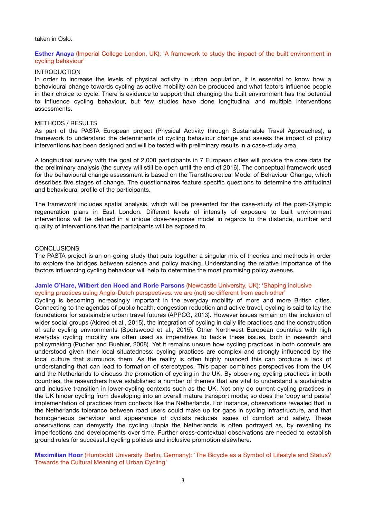#### taken in Oslo.

#### **Esther Anaya** (Imperial College London, UK): 'A framework to study the impact of the built environment in cycling behaviour'

#### INTRODUCTION

In order to increase the levels of physical activity in urban population, it is essential to know how a behavioural change towards cycling as active mobility can be produced and what factors influence people in their choice to cycle. There is evidence to support that changing the built environment has the potential to influence cycling behaviour, but few studies have done longitudinal and multiple interventions assessments.

#### METHODS / RESULTS

As part of the PASTA European project (Physical Activity through Sustainable Travel Approaches), a framework to understand the determinants of cycling behaviour change and assess the impact of policy interventions has been designed and will be tested with preliminary results in a case-study area.

A longitudinal survey with the goal of 2,000 participants in 7 European cities will provide the core data for the preliminary analysis (the survey will still be open until the end of 2016). The conceptual framework used for the behavioural change assessment is based on the Transtheoretical Model of Behaviour Change, which describes five stages of change. The questionnaires feature specific questions to determine the attitudinal and behavioural profile of the participants.

The framework includes spatial analysis, which will be presented for the case-study of the post-Olympic regeneration plans in East London. Different levels of intensity of exposure to built environment interventions will be defined in a unique dose-response model in regards to the distance, number and quality of interventions that the participants will be exposed to.

#### **CONCLUSIONS**

The PASTA project is an on-going study that puts together a singular mix of theories and methods in order to explore the bridges between science and policy making. Understanding the relative importance of the factors influencing cycling behaviour will help to determine the most promising policy avenues.

# **Jamie O'Hare, Wilbert den Hoed and Rorie Parsons** (Newcastle University, UK): 'Shaping inclusive cycling practices using Anglo-Dutch perspectives: we are (not) so different from each other'

Cycling is becoming increasingly important in the everyday mobility of more and more British cities. Connecting to the agendas of public health, congestion reduction and active travel, cycling is said to lay the foundations for sustainable urban travel futures (APPCG, 2013). However issues remain on the inclusion of wider social groups (Aldred et al., 2015), the integration of cycling in daily life practices and the construction of safe cycling environments (Spotswood et al., 2015). Other Northwest European countries with high everyday cycling mobility are often used as imperatives to tackle these issues, both in research and policymaking (Pucher and Buehler, 2008). Yet it remains unsure how cycling practices in both contexts are understood given their local situatedness: cycling practices are complex and strongly influenced by the local culture that surrounds them. As the reality is often highly nuanced this can produce a lack of understanding that can lead to formation of stereotypes. This paper combines perspectives from the UK and the Netherlands to discuss the promotion of cycling in the UK. By observing cycling practices in both countries, the researchers have established a number of themes that are vital to understand a sustainable and inclusive transition in lower-cycling contexts such as the UK. Not only do current cycling practices in the UK hinder cycling from developing into an overall mature transport mode; so does the 'copy and paste' implementation of practices from contexts like the Netherlands. For instance, observations revealed that in the Netherlands tolerance between road users could make up for gaps in cycling infrastructure, and that homogeneous behaviour and appearance of cyclists reduces issues of comfort and safety. These observations can demystify the cycling utopia the Netherlands is often portrayed as, by revealing its imperfections and developments over time. Further cross-contextual observations are needed to establish ground rules for successful cycling policies and inclusive promotion elsewhere.

**Maximilian Hoor** (Humboldt University Berlin, Germany): 'The Bicycle as a Symbol of Lifestyle and Status? Towards the Cultural Meaning of Urban Cycling'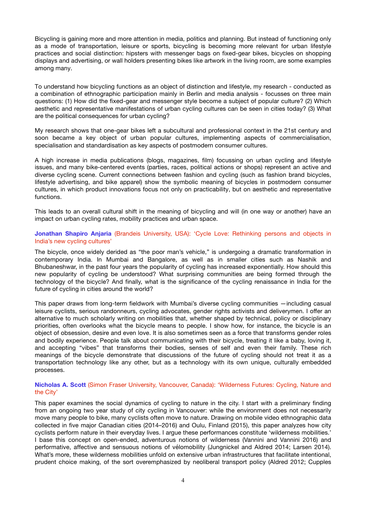Bicycling is gaining more and more attention in media, politics and planning. But instead of functioning only as a mode of transportation, leisure or sports, bicycling is becoming more relevant for urban lifestyle practices and social distinction: hipsters with messenger bags on fixed-gear bikes, bicycles on shopping displays and advertising, or wall holders presenting bikes like artwork in the living room, are some examples among many.

To understand how bicycling functions as an object of distinction and lifestyle, my research - conducted as a combination of ethnographic participation mainly in Berlin and media analysis - focusses on three main questions: (1) How did the fixed-gear and messenger style become a subject of popular culture? (2) Which aesthetic and representative manifestations of urban cycling cultures can be seen in cities today? (3) What are the political consequences for urban cycling?

My research shows that one-gear bikes left a subcultural and professional context in the 21st century and soon became a key object of urban popular cultures, implementing aspects of commercialisation, specialisation and standardisation as key aspects of postmodern consumer cultures.

A high increase in media publications (blogs, magazines, film) focussing on urban cycling and lifestyle issues, and many bike-centered events (parties, races, political actions or shops) represent an active and diverse cycling scene. Current connections between fashion and cycling (such as fashion brand bicycles, lifestyle advertising, and bike apparel) show the symbolic meaning of bicycles in postmodern consumer cultures, in which product innovations focus not only on practicability, but on aesthetic and representative functions.

This leads to an overall cultural shift in the meaning of bicycling and will (in one way or another) have an impact on urban cycling rates, mobility practices and urban space.

# **Jonathan Shapiro Anjaria** (Brandeis University, USA): 'Cycle Love: Rethinking persons and objects in India's new cycling cultures'

The bicycle, once widely derided as "the poor man's vehicle," is undergoing a dramatic transformation in contemporary India. In Mumbai and Bangalore, as well as in smaller cities such as Nashik and Bhubaneshwar, in the past four years the popularity of cycling has increased exponentially. How should this new popularity of cycling be understood? What surprising communities are being formed through the technology of the bicycle? And finally, what is the significance of the cycling renaissance in India for the future of cycling in cities around the world?

This paper draws from long-term fieldwork with Mumbai's diverse cycling communities —including casual leisure cyclists, serious randonneurs, cycling advocates, gender rights activists and deliverymen. I offer an alternative to much scholarly writing on mobilities that, whether shaped by technical, policy or disciplinary priorities, often overlooks what the bicycle means to people. I show how, for instance, the bicycle is an object of obsession, desire and even love. It is also sometimes seen as a force that transforms gender roles and bodily experience. People talk about communicating with their bicycle, treating it like a baby, loving it, and accepting "vibes" that transforms their bodies, senses of self and even their family. These rich meanings of the bicycle demonstrate that discussions of the future of cycling should not treat it as a transportation technology like any other, but as a technology with its own unique, culturally embedded processes.

# **Nicholas A. Scott** (Simon Fraser University, Vancouver, Canada): 'Wilderness Futures: Cycling, Nature and the City'

This paper examines the social dynamics of cycling to nature in the city. I start with a preliminary finding from an ongoing two year study of city cycling in Vancouver: while the environment does not necessarily move many people to bike, many cyclists often move to nature. Drawing on mobile video ethnographic data collected in five major Canadian cities (2014–2016) and Oulu, Finland (2015), this paper analyzes how city cyclists perform nature in their everyday lives. I argue these performances constitute 'wilderness mobilities.' I base this concept on open-ended, adventurous notions of wilderness (Vannini and Vannini 2016) and performative, affective and sensuous notions of vélomobility (Jungnickel and Aldred 2014; Larsen 2014). What's more, these wilderness mobilities unfold on extensive urban infrastructures that facilitate intentional, prudent choice making, of the sort overemphasized by neoliberal transport policy (Aldred 2012; Cupples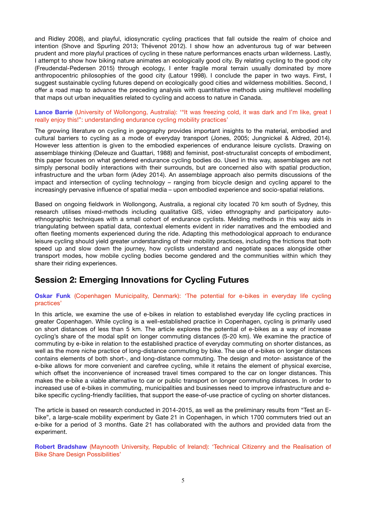and Ridley 2008), and playful, idiosyncratic cycling practices that fall outside the realm of choice and intention (Shove and Spurling 2013; Thévenot 2012). I show how an adventurous tug of war between prudent and more playful practices of cycling in these nature performances enacts urban wilderness. Lastly, I attempt to show how biking nature animates an ecologically good city. By relating cycling to the good city (Freudendal-Pedersen 2015) through ecology, I enter fragile moral terrain usually dominated by more anthropocentric philosophies of the good city (Latour 1998). I conclude the paper in two ways. First, I suggest sustainable cycling futures depend on ecologically good cities and wilderness mobilities. Second, I offer a road map to advance the preceding analysis with quantitative methods using multilevel modelling that maps out urban inequalities related to cycling and access to nature in Canada.

# **Lance Barrie** (University of Wollongong, Australia): '"It was freezing cold, it was dark and I'm like, great I really enjoy this!": understanding endurance cycling mobility practices'

The growing literature on cycling in geography provides important insights to the material, embodied and cultural barriers to cycling as a mode of everyday transport (Jones, 2005; Jungnickel & Aldred, 2014). However less attention is given to the embodied experiences of endurance leisure cyclists. Drawing on assemblage thinking (Deleuze and Guattari, 1988) and feminist, post-structuralist concepts of embodiment, this paper focuses on what gendered endurance cycling bodies do. Used in this way, assemblages are not simply personal bodily interactions with their surrounds, but are concerned also with spatial production, infrastructure and the urban form (Adey 2014). An assemblage approach also permits discussions of the impact and intersection of cycling technology – ranging from bicycle design and cycling apparel to the increasingly pervasive influence of spatial media – upon embodied experience and socio-spatial relations.

Based on ongoing fieldwork in Wollongong, Australia, a regional city located 70 km south of Sydney, this research utilises mixed-methods including qualitative GIS, video ethnography and participatory autoethnographic techniques with a small cohort of endurance cyclists. Melding methods in this way aids in triangulating between spatial data, contextual elements evident in rider narratives and the embodied and often fleeting moments experienced during the ride. Adapting this methodological approach to endurance leisure cycling should yield greater understanding of their mobility practices, including the frictions that both speed up and slow down the journey, how cyclists understand and negotiate spaces alongside other transport modes, how mobile cycling bodies become gendered and the communities within which they share their riding experiences.

# **Session 2: Emerging Innovations for Cycling Futures**

# **Oskar Funk** (Copenhagen Municipality, Denmark): 'The potential for e-bikes in everyday life cycling practices'

In this article, we examine the use of e-bikes in relation to established everyday life cycling practices in greater Copenhagen. While cycling is a well-established practice in Copenhagen, cycling is primarily used on short distances of less than 5 km. The article explores the potential of e-bikes as a way of increase cycling's share of the modal split on longer commuting distances (5-20 km). We examine the practice of commuting by e-bike in relation to the established practice of everyday commuting on shorter distances, as well as the more niche practice of long-distance commuting by bike. The use of e-bikes on longer distances contains elements of both short-, and long-distance commuting. The design and motor- assistance of the e-bike allows for more convenient and carefree cycling, while it retains the element of physical exercise, which offset the inconvenience of increased travel times compared to the car on longer distances. This makes the e-bike a viable alternative to car or public transport on longer commuting distances. In order to increased use of e-bikes in commuting, municipalities and businesses need to improve infrastructure and ebike specific cycling-friendly facilities, that support the ease-of-use practice of cycling on shorter distances.

The article is based on research conducted in 2014-2015, as well as the preliminary results from "Test an Ebike", a large-scale mobility experiment by Gate 21 in Copenhagen, in which 1700 commuters tried out an e-bike for a period of 3 months. Gate 21 has collaborated with the authors and provided data from the experiment.

**Robert Bradshaw** (Maynooth University, Republic of Ireland): 'Technical Citizenry and the Realisation of Bike Share Design Possibilities'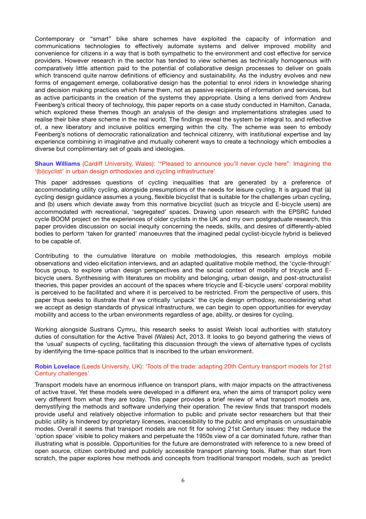Contemporary or "smart" bike share schemes have exploited the capacity of information and communications technologies to effectively automate systems and deliver improved mobility and convenience for citizens in a way that is both sympathetic to the environment and cost effective for service providers. However research in the sector has tended to view schemes as technically homogenous with comparatively little attention paid to the potential of collaborative design processes to deliver on goals which transcend quite narrow definitions of efficiency and sustainability. As the industry evolves and new forms of engagement emerge, collaborative design has the potential to enrol riders in knowledge sharing and decision making practices which frame them, not as passive recipients of information and services, but as active participants in the creation of the systems they appropriate. Using a lens derived from Andrew Feenberg's critical theory of technology, this paper reports on a case study conducted in Hamilton, Canada, which explored these themes though an analysis of the design and implementations strategies used to realise their bike share scheme in the real world. The findings reveal the system be integral to, and reflective of, a new liberatory and inclusive politics emerging within the city. The scheme was seen to embody Feenberg's notions of democratic rationalization and technical citizenry, with institutional expertise and lay experience combining in imaginative and mutually coherent ways to create a technology which embodies a diverse but complimentary set of goals and ideologies.

# **Shaun Williams** (Cardiff University, Wales): '"Pleased to announce you'll never cycle here": Imagining the '(bi)cyclist' in urban design orthodoxies and cycling infrastructure'

This paper addresses questions of cycling inequalities that are generated by a preference of accommodating utility cycling, alongside presumptions of the needs for leisure cycling. It is argued that (a) cycling design guidance assumes a young, flexible bicyclist that is suitable for the challenges urban cycling, and (b) users which deviate away from this normative bicyclist (such as tricycle and E-bicycle users) are accommodated with recreational, 'segregated' spaces. Drawing upon research with the EPSRC funded cycle BOOM project on the experiences of older cyclists in the UK and my own postgraduate research, this paper provides discussion on social inequity concerning the needs, skills, and desires of differently-abled bodies to perform 'taken for granted' manoeuvres that the imagined pedal cyclist-bicycle hybrid is believed to be capable of.

Contributing to the cumulative literature on mobile methodologies, this research employs mobile observations and video elicitation interviews, and an adapted qualitative mobile method, the 'cycle-through' focus group, to explore urban design perspectives and the social context of mobility of tricycle and Ebicycle users. Synthesising with literatures on mobility and belonging, urban design, and post-structuralist theories, this paper provides an account of the spaces where tricycle and E-bicycle users' corporal mobility is perceived to be facilitated and where it is perceived to be restricted. From the perspective of users, this paper thus seeks to illustrate that if we critically 'unpack' the cycle design orthodoxy, reconsidering what we accept as design standards of physical infrastructure, we can begin to open opportunities for everyday mobility and access to the urban environments regardless of age, ability, or desires for cycling.

Working alongside Sustrans Cymru, this research seeks to assist Welsh local authorities with statutory duties of consultation for the Active Travel (Wales) Act, 2013. It looks to go beyond gathering the views of the 'usual' suspects of cycling, facilitating this discussion through the views of alternative types of cyclists by identifying the time-space politics that is inscribed to the urban environment.

# **Robin Lovelace** (Leeds University, UK): 'Tools of the trade: adapting 20th Century transport models for 21st Century challenges'

Transport models have an enormous influence on transport plans, with major impacts on the attractiveness of active travel. Yet these models were developed in a different era, when the aims of transport policy were very different from what they are today. This paper provides a brief review of what transport models are, demystifying the methods and software underlying their operation. The review finds that transport models provide useful and relatively objective information to public and private sector researchers but that their public utility is hindered by proprietary licenses, inaccessibility to the public and emphasis on unsustainable modes. Overall it seems that transport models are not fit for solving 21st Century issues: they reduce the 'option space' visible to policy makers and perpetuate the 1950s view of a car dominated future, rather than illustrating what is possible. Opportunities for the future are demonstrated with reference to a new breed of open source, citizen contributed and publicly accessible transport planning tools. Rather than start from scratch, the paper explores how methods and concepts from traditional transport models, such as 'predict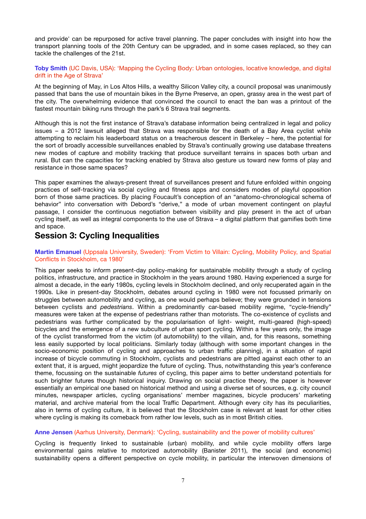and provide' can be repurposed for active travel planning. The paper concludes with insight into how the transport planning tools of the 20th Century can be upgraded, and in some cases replaced, so they can tackle the challenges of the 21st.

# **Toby Smith** (UC Davis, USA): 'Mapping the Cycling Body: Urban ontologies, locative knowledge, and digital drift in the Age of Strava'

At the beginning of May, in Los Altos Hills, a wealthy Silicon Valley city, a council proposal was unanimously passed that bans the use of mountain bikes in the Byrne Preserve, an open, grassy area in the west part of the city. The overwhelming evidence that convinced the council to enact the ban was a printout of the fastest mountain biking runs through the park's 6 Strava trail segments.

Although this is not the first instance of Strava's database information being centralized in legal and policy issues – a 2012 lawsuit alleged that Strava was responsible for the death of a Bay Area cyclist while attempting to reclaim his leaderboard status on a treacherous descent in Berkeley – here, the potential for the sort of broadly accessible surveillances enabled by Strava's continually growing use database threatens new modes of capture and mobility tracking that produce surveillant terrains in spaces both urban and rural. But can the capacities for tracking enabled by Strava also gesture us toward new forms of play and resistance in those same spaces?

This paper examines the always-present threat of surveillances present and future enfolded within ongoing practices of self-tracking via social cycling and fitness apps and considers modes of playful opposition born of those same practices. By placing Foucault's conception of an "anatomo-chronological schema of behavior" into conversation with Debord's "derive," a mode of urban movement contingent on playful passage, I consider the continuous negotiation between visibility and play present in the act of urban cycling itself, as well as integral components to the use of Strava – a digital platform that gamifies both time and space.

# **Session 3: Cycling Inequalities**

# **Martin Emanuel** (Uppsala University, Sweden): 'From Victim to Villain: Cycling, Mobility Policy, and Spatial Conflicts in Stockholm, ca 1980'

This paper seeks to inform present-day policy-making for sustainable mobility through a study of cycling politics, infrastructure, and practice in Stockholm in the years around 1980. Having experienced a surge for almost a decade, in the early 1980s, cycling levels in Stockholm declined, and only recuperated again in the 1990s. Like in present-day Stockholm, debates around cycling in 1980 were not focussed primarily on struggles between automobility and cycling, as one would perhaps believe; they were grounded in tensions between cyclists and *pedestrians*. Within a predominantly car-based mobility regime, "cycle-friendly" measures were taken at the expense of pedestrians rather than motorists. The co-existence of cyclists and pedestrians was further complicated by the popularisation of light- weight, multi-geared (high-speed) bicycles and the emergence of a new subculture of urban sport cycling. Within a few years only, the image of the cyclist transformed from the victim (of automobility) to the villain, and, for this reasons, something less easily supported by local politicians. Similarly today (although with some important changes in the socio-economic position of cycling and approaches to urban traffic planning), in a situation of rapid increase of bicycle commuting in Stockholm, cyclists and pedestrians are pitted against each other to an extent that, it is argued, might jeopardize the future of cycling. Thus, notwithstanding this year's conference theme, focussing on the sustainable *futures* of cycling, this paper aims to better understand potentials for such brighter futures though historical inquiry. Drawing on social practice theory, the paper is however essentially an empirical one based on historical method and using a diverse set of sources, e.g. city council minutes, newspaper articles, cycling organisations' member magazines, bicycle producers' marketing material, and archive material from the local Traffic Department. Although every city has its peculiarities, also in terms of cycling culture, it is believed that the Stockholm case is relevant at least for other cities where cycling is making its comeback from rather low levels, such as in most British cities.

# **Anne Jensen** (Aarhus University, Denmark): 'Cycling, sustainability and the power of mobility cultures'

Cycling is frequently linked to sustainable (urban) mobility, and while cycle mobility offers large environmental gains relative to motorized automobility (Banister 2011), the social (and economic) sustainability opens a different perspective on cycle mobility, in particular the interwoven dimensions of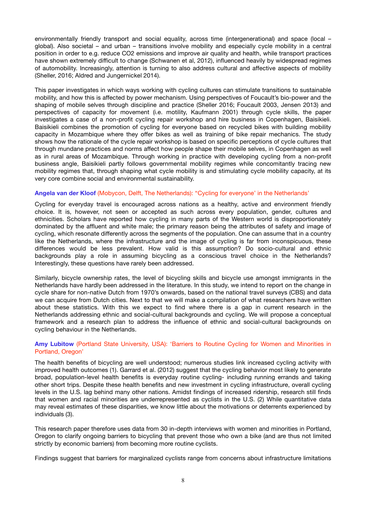environmentally friendly transport and social equality, across time (intergenerational) and space (local – global). Also societal – and urban – transitions involve mobility and especially cycle mobility in a central position in order to e.g. reduce CO2 emissions and improve air quality and health, while transport practices have shown extremely difficult to change (Schwanen et al, 2012), influenced heavily by widespread regimes of automobility. Increasingly, attention is turning to also address cultural and affective aspects of mobility (Sheller, 2016; Aldred and Jungernickel 2014).

This paper investigates in which ways working with cycling cultures can stimulate transitions to sustainable mobility, and how this is affected by power mechanism. Using perspectives of Foucault's bio-power and the shaping of mobile selves through discipline and practice (Sheller 2016; Foucault 2003, Jensen 2013) and perspectives of capacity for movement (i.e. motility, Kaufmann 2001) through cycle skills, the paper investigates a case of a non-profit cycling repair workshop and hire business in Copenhagen, Baisikieli. Baisikieli combines the promotion of cycling for everyone based on recycled bikes with building mobility capacity in Mozambique where they offer bikes as well as training of bike repair mechanics. The study shows how the rationale of the cycle repair workshop is based on specific perceptions of cycle cultures that through mundane practices and norms affect how people shape their mobile selves, in Copenhagen as well as in rural areas of Mozambique. Through working in practice with developing cycling from a non-profit business angle, Baisikieli partly follows governmental mobility regimes while concomitantly tracing new mobility regimes that, through shaping what cycle mobility is and stimulating cycle mobility capacity, at its very core combine social and environmental sustainability.

### **Angela van der Kloof** (Mobycon, Delft, The Netherlands): ''Cycling for everyone' in the Netherlands'

Cycling for everyday travel is encouraged across nations as a healthy, active and environment friendly choice. It is, however, not seen or accepted as such across every population, gender, cultures and ethnicities. Scholars have reported how cycling in many parts of the Western world is disproportionately dominated by the affluent and white male; the primary reason being the attributes of safety and image of cycling, which resonate differently across the segments of the population. One can assume that in a country like the Netherlands, where the infrastructure and the image of cycling is far from inconspicuous, these differences would be less prevalent. How valid is this assumption? Do socio-cultural and ethnic backgrounds play a role in assuming bicycling as a conscious travel choice in the Netherlands? Interestingly, these questions have rarely been addressed.

Similarly, bicycle ownership rates, the level of bicycling skills and bicycle use amongst immigrants in the Netherlands have hardly been addressed in the literature. In this study, we intend to report on the change in cycle share for non-native Dutch from 1970's onwards, based on the national travel surveys (CBS) and data we can acquire from Dutch cities. Next to that we will make a compilation of what researchers have written about these statistics. With this we expect to find where there is a gap in current research in the Netherlands addressing ethnic and social-cultural backgrounds and cycling. We will propose a conceptual framework and a research plan to address the influence of ethnic and social-cultural backgrounds on cycling behaviour in the Netherlands.

# **Amy Lubitow** (Portland State University, USA): 'Barriers to Routine Cycling for Women and Minorities in Portland, Oregon'

The health benefits of bicycling are well understood; numerous studies link increased cycling activity with improved health outcomes (1). Garrard et al. (2012) suggest that the cycling behavior most likely to generate broad, population-level health benefits is everyday routine cycling- including running errands and taking other short trips. Despite these health benefits and new investment in cycling infrastructure, overall cycling levels in the U.S. lag behind many other nations. Amidst findings of increased ridership, research still finds that women and racial minorities are underrepresented as cyclists in the U.S. (2) While quantitative data may reveal estimates of these disparities, we know little about the motivations or deterrents experienced by individuals (3).

This research paper therefore uses data from 30 in-depth interviews with women and minorities in Portland, Oregon to clarify ongoing barriers to bicycling that prevent those who own a bike (and are thus not limited strictly by economic barriers) from becoming more routine cyclists.

Findings suggest that barriers for marginalized cyclists range from concerns about infrastructure limitations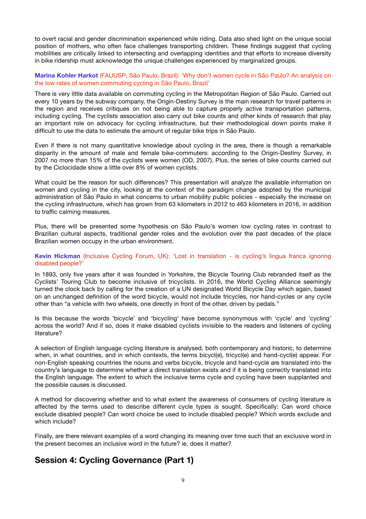to overt racial and gender discrimination experienced while riding. Data also shed light on the unique social position of mothers, who often face challenges transporting children. These findings suggest that cycling mobilities are critically linked to intersecting and overlapping identities and that efforts to increase diversity in bike ridership must acknowledge the unique challenges experienced by marginalized groups.

# **Marina Kohler Harkot** (FAUUSP, São Paulo, Brazil): 'Why don't women cycle in São Paulo? An analysis on the low rates of women commuting cycling in São Paulo, Brazil'

There is very little data available on commuting cycling in the Metropolitan Region of São Paulo. Carried out every 10 years by the subway company, the Origin-Destiny Survey is the main research for travel patterns in the region and receives critiques on not being able to capture properly active transportation patterns, including cycling. The cyclists association also carry out bike counts and other kinds of research that play an important role on advocacy for cycling infrastructure, but their methodological down points make it difficult to use the data to estimate the amount of regular bike trips in São Paulo.

Even if there is not many quantitative knowledge about cycling in the area, there is though a remarkable disparity in the amount of male and female bike-commuters: according to the Origin-Destiny Survey, in 2007 no more than 15% of the cyclists were women (OD, 2007). Plus, the series of bike counts carried out by the Ciclocidade show a little over 8% of women cyclists.

What could be the reason for such differences? This presentation will analyze the available information on women and cycling in the city, looking at the context of the paradigm change adopted by the municipal administration of São Paulo in what concerns to urban mobility public policies - especially the increase on the cycling infrastructure, which has grown from 63 kilometers in 2012 to 463 kilometers in 2016, in addition to traffic calming measures.

Plus, there will be presented some hypothesis on São Paulo's women low cycling rates in contrast to Brazilian cultural aspects, traditional gender roles and the evolution over the past decades of the place Brazilian women occupy in the urban environment.

# **Kevin Hickman** (Inclusive Cycling Forum, UK): 'Lost in translation - is cycling's lingua franca ignoring disabled people?'

In 1893, only five years after it was founded in Yorkshire, the Bicycle Touring Club rebranded itself as the Cyclists' Touring Club to become inclusive of tricyclists. In 2016, the World Cycling Alliance seemingly turned the clock back by calling for the creation of a UN designated World Bicycle Day which again, based on an unchanged definition of the word bicycle, would not include tricycles, nor hand-cycles or any cycle other than "a vehicle with two wheels, one directly in front of the other, driven by pedals."

Is this because the words 'bicycle' and 'bicycling' have become synonymous with 'cycle' and 'cycling' across the world? And if so, does it make disabled cyclists invisible to the readers and listeners of cycling literature?

A selection of English language cycling literature is analysed, both contemporary and historic, to determine when, in what countries, and in which contexts, the terms bicycl(e), tricycl(e) and hand-cycl(e) appear. For non-English speaking countries the nouns and verbs bicycle, tricycle and hand-cycle are translated into the country's language to determine whether a direct translation exists and if it is being correctly translated into the English language. The extent to which the inclusive terms cycle and cycling have been supplanted and the possible causes is discussed.

A method for discovering whether and to what extent the awareness of consumers of cycling literature is affected by the terms used to describe different cycle types is sought. Specifically: Can word choice exclude disabled people? Can word choice be used to include disabled people? Which words exclude and which include?

Finally, are there relevant examples of a word changing its meaning over time such that an exclusive word in the present becomes an inclusive word in the future? ie, does it matter?

# **Session 4: Cycling Governance (Part 1)**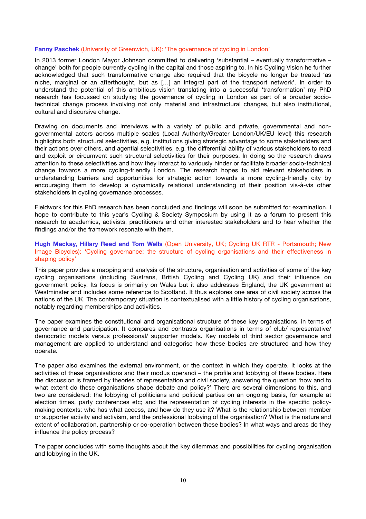#### **Fanny Paschek** (University of Greenwich, UK): 'The governance of cycling in London'

In 2013 former London Mayor Johnson committed to delivering 'substantial – eventually transformative – change' both for people currently cycling in the capital and those aspiring to. In his Cycling Vision he further acknowledged that such transformative change also required that the bicycle no longer be treated 'as niche, marginal or an afterthought, but as […] an integral part of the transport network'. In order to understand the potential of this ambitious vision translating into a successful 'transformation' my PhD research has focussed on studying the governance of cycling in London as part of a broader sociotechnical change process involving not only material and infrastructural changes, but also institutional, cultural and discursive change.

Drawing on documents and interviews with a variety of public and private, governmental and nongovernmental actors across multiple scales (Local Authority/Greater London/UK/EU level) this research highlights both structural selectivities, e.g. institutions giving strategic advantage to some stakeholders and their actions over others, and agential selectivities, e.g. the differential ability of various stakeholders to read and exploit or circumvent such structural selectivities for their purposes. In doing so the research draws attention to these selectivities and how they interact to variously hinder or facilitate broader socio-technical change towards a more cycling-friendly London. The research hopes to aid relevant stakeholders in understanding barriers and opportunities for strategic action towards a more cycling-friendly city by encouraging them to develop a dynamically relational understanding of their position vis-à-vis other stakeholders in cycling governance processes.

Fieldwork for this PhD research has been concluded and findings will soon be submitted for examination. I hope to contribute to this year's Cycling & Society Symposium by using it as a forum to present this research to academics, activists, practitioners and other interested stakeholders and to hear whether the findings and/or the framework resonate with them.

# **Hugh Mackay, Hillary Reed and Tom Wells** (Open University, UK; Cycling UK RTR - Portsmouth; New Image Bicycles): 'Cycling governance: the structure of cycling organisations and their effectiveness in shaping policy'

This paper provides a mapping and analysis of the structure, organisation and activities of some of the key cycling organisations (including Sustrans, British Cycling and Cycling UK) and their influence on government policy. Its focus is primarily on Wales but it also addresses England, the UK government at Westminster and includes some reference to Scotland. It thus explores one area of civil society across the nations of the UK. The contemporary situation is contextualised with a little history of cycling organisations, notably regarding memberships and activities.

The paper examines the constitutional and organisational structure of these key organisations, in terms of governance and participation. It compares and contrasts organisations in terms of club/ representative/ democratic models versus professional/ supporter models. Key models of third sector governance and management are applied to understand and categorise how these bodies are structured and how they operate.

The paper also examines the external environment, or the context in which they operate. It looks at the activities of these organisations and their modus operandi – the profile and lobbying of these bodies. Here the discussion is framed by theories of representation and civil society, answering the question 'how and to what extent do these organisations shape debate and policy?' There are several dimensions to this, and two are considered: the lobbying of politicians and political parties on an ongoing basis, for example at election times, party conferences etc; and the representation of cycling interests in the specific policymaking contexts: who has what access, and how do they use it? What is the relationship between member or supporter activity and activism, and the professional lobbying of the organisation? What is the nature and extent of collaboration, partnership or co-operation between these bodies? In what ways and areas do they influence the policy process?

The paper concludes with some thoughts about the key dilemmas and possibilities for cycling organisation and lobbying in the UK.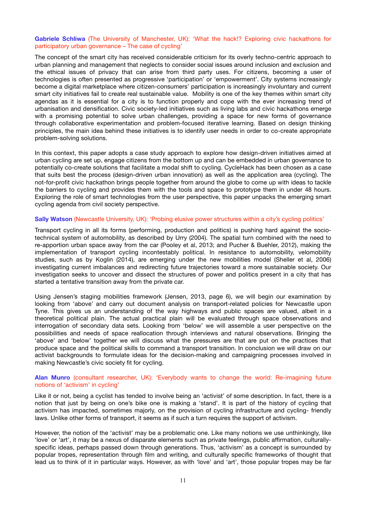# **Gabriele Schliwa** (The University of Manchester, UK): 'What the hack!? Exploring civic hackathons for participatory urban governance – The case of cycling'

The concept of the smart city has received considerable criticism for its overly techno-centric approach to urban planning and management that neglects to consider social issues around inclusion and exclusion and the ethical issues of privacy that can arise from third party uses. For citizens, becoming a user of technologies is often presented as progressive 'participation' or 'empowerment'. City systems increasingly become a digital marketplace where citizen-consumers' participation is increasingly involuntary and current smart city initiatives fail to create real sustainable value. Mobility is one of the key themes within smart city agendas as it is essential for a city is to function properly and cope with the ever increasing trend of urbanisation and densification. Civic society-led initiatives such as living labs and civic hackathons emerge with a promising potential to solve urban challenges, providing a space for new forms of governance through collaborative experimentation and problem-focused iterative learning. Based on design thinking principles, the main idea behind these initiatives is to identify user needs in order to co-create appropriate problem-solving solutions.

In this context, this paper adopts a case study approach to explore how design-driven initiatives aimed at urban cycling are set up, engage citizens from the bottom up and can be embedded in urban governance to potentially co-create solutions that facilitate a modal shift to cycling. CycleHack has been chosen as a case that suits best the process (design-driven urban innovation) as well as the application area (cycling). The not-for-profit civic hackathon brings people together from around the globe to come up with ideas to tackle the barriers to cycling and provides them with the tools and space to prototype them in under 48 hours. Exploring the role of smart technologies from the user perspective, this paper unpacks the emerging smart cycling agenda from civil society perspective.

# **Sally Watson** (Newcastle University, UK): 'Probing elusive power structures within a city's cycling politics'

Transport cycling in all its forms (performing, production and politics) is pushing hard against the sociotechnical system of automobility, as described by Urry (2004). The spatial turn combined with the need to re-apportion urban space away from the car (Pooley et al, 2013; and Pucher & Buehler, 2012), making the implementation of transport cycling incontestably political. In resistance to automobility, velomobility studies, such as by Koglin (2014), are emerging under the new mobilities model (Sheller et al, 2006) investigating current imbalances and redirecting future trajectories toward a more sustainable society. Our investigation seeks to uncover and dissect the structures of power and politics present in a city that has started a tentative transition away from the private car.

Using Jensen's staging mobilities framework (Jensen, 2013, page 6), we will begin our examination by looking from 'above' and carry out document analysis on transport-related policies for Newcastle upon Tyne. This gives us an understanding of the way highways and public spaces are valued, albeit in a theoretical political plain. The actual practical plain will be evaluated through space observations and interrogation of secondary data sets. Looking from 'below' we will assemble a user perspective on the possibilities and needs of space reallocation through interviews and natural observations. Bringing the 'above' and 'below' together we will discuss what the pressures are that are put on the practices that produce space and the political skills to command a transport transition. In conclusion we will draw on our activist backgrounds to formulate ideas for the decision-making and campaigning processes involved in making Newcastle's civic society fit for cycling.

#### **Alan Munro** (consultant researcher, UK): 'Everybody wants to change the world: Re-imagining future notions of 'activism' in cycling'

Like it or not, being a cyclist has tended to involve being an 'activist' of some description. In fact, there is a notion that just by being on one's bike one is making a 'stand'. It is part of the history of cycling that activism has impacted, sometimes majorly, on the provision of cycling infrastructure and cycling- friendly laws. Unlike other forms of transport, it seems as if such a turn requires the support of activism.

However, the notion of the 'activist' may be a problematic one. Like many notions we use unthinkingly, like 'love' or 'art', it may be a nexus of disparate elements such as private feelings, public affirmation, culturallyspecific ideas, perhaps passed down through generations. Thus, 'activism' as a concept is surrounded by popular tropes, representation through film and writing, and culturally specific frameworks of thought that lead us to think of it in particular ways. However, as with 'love' and 'art', those popular tropes may be far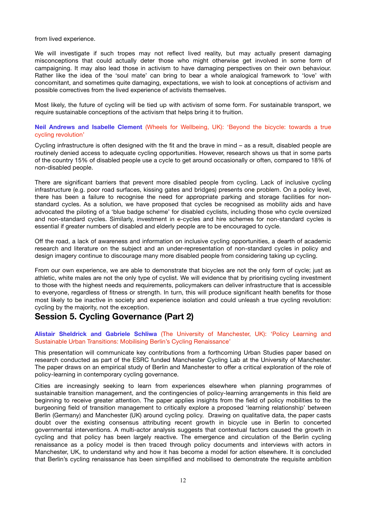from lived experience.

We will investigate if such tropes may not reflect lived reality, but may actually present damaging misconceptions that could actually deter those who might otherwise get involved in some form of campaigning. It may also lead those in activism to have damaging perspectives on their own behaviour. Rather like the idea of the 'soul mate' can bring to bear a whole analogical framework to 'love' with concomitant, and sometimes quite damaging, expectations, we wish to look at conceptions of activism and possible correctives from the lived experience of activists themselves.

Most likely, the future of cycling will be tied up with activism of some form. For sustainable transport, we require sustainable conceptions of the activism that helps bring it to fruition.

# **Neil Andrews and Isabelle Clement** (Wheels for Wellbeing, UK): 'Beyond the bicycle: towards a true cycling revolution'

Cycling infrastructure is often designed with the fit and the brave in mind – as a result, disabled people are routinely denied access to adequate cycling opportunities. However, research shows us that in some parts of the country 15% of disabled people use a cycle to get around occasionally or often, compared to 18% of non-disabled people.

There are significant barriers that prevent more disabled people from cycling. Lack of inclusive cycling infrastructure (e.g. poor road surfaces, kissing gates and bridges) presents one problem. On a policy level, there has been a failure to recognise the need for appropriate parking and storage facilities for nonstandard cycles. As a solution, we have proposed that cycles be recognised as mobility aids and have advocated the piloting of a 'blue badge scheme' for disabled cyclists, including those who cycle oversized and non-standard cycles. Similarly, investment in e-cycles and hire schemes for non-standard cycles is essential if greater numbers of disabled and elderly people are to be encouraged to cycle.

Off the road, a lack of awareness and information on inclusive cycling opportunities, a dearth of academic research and literature on the subject and an under-representation of non-standard cycles in policy and design imagery continue to discourage many more disabled people from considering taking up cycling.

From our own experience, we are able to demonstrate that bicycles are not the only form of cycle; just as athletic, white males are not the only type of cyclist. We will evidence that by prioritising cycling investment to those with the highest needs and requirements, policymakers can deliver infrastructure that is accessible to everyone, regardless of fitness or strength. In turn, this will produce significant health benefits for those most likely to be inactive in society and experience isolation and could unleash a true cycling revolution: cycling by the majority, not the exception.

# **Session 5. Cycling Governance (Part 2)**

# **Alistair Sheldrick and Gabriele Schliwa** (The University of Manchester, UK): 'Policy Learning and Sustainable Urban Transitions: Mobilising Berlin's Cycling Renaissance'

This presentation will communicate key contributions from a forthcoming Urban Studies paper based on research conducted as part of the ESRC funded Manchester Cycling Lab at the University of Manchester. The paper draws on an empirical study of Berlin and Manchester to offer a critical exploration of the role of policy-learning in contemporary cycling governance.

Cities are increasingly seeking to learn from experiences elsewhere when planning programmes of sustainable transition management, and the contingencies of policy-learning arrangements in this field are beginning to receive greater attention. The paper applies insights from the field of policy mobilities to the burgeoning field of transition management to critically explore a proposed 'learning relationship' between Berlin (Germany) and Manchester (UK) around cycling policy. Drawing on qualitative data, the paper casts doubt over the existing consensus attributing recent growth in bicycle use in Berlin to concerted governmental interventions. A multi-actor analysis suggests that contextual factors caused the growth in cycling and that policy has been largely reactive. The emergence and circulation of the Berlin cycling renaissance as a policy model is then traced through policy documents and interviews with actors in Manchester, UK, to understand why and how it has become a model for action elsewhere. It is concluded that Berlin's cycling renaissance has been simplified and mobilised to demonstrate the requisite ambition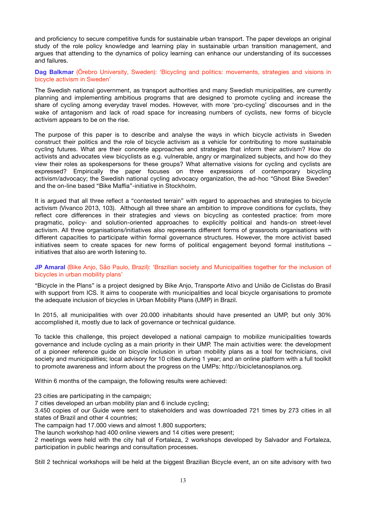and proficiency to secure competitive funds for sustainable urban transport. The paper develops an original study of the role policy knowledge and learning play in sustainable urban transition management, and argues that attending to the dynamics of policy learning can enhance our understanding of its successes and failures.

**Dag Balkmar** (Örebro University, Sweden): 'Bicycling and politics: movements, strategies and visions in bicycle activism in Sweden'

The Swedish national government, as transport authorities and many Swedish municipalities, are currently planning and implementing ambitious programs that are designed to promote cycling and increase the share of cycling among everyday travel modes. However, with more 'pro-cycling' discourses and in the wake of antagonism and lack of road space for increasing numbers of cyclists, new forms of bicycle activism appears to be on the rise.

The purpose of this paper is to describe and analyse the ways in which bicycle activists in Sweden construct their politics and the role of bicycle activism as a vehicle for contributing to more sustainable cycling futures. What are their concrete approaches and strategies that inform their activism? How do activists and advocates view bicyclists as e.g. vulnerable, angry or marginalized subjects, and how do they view their roles as spokespersons for these groups? What alternative visions for cycling and cyclists are expressed? Empirically the paper focuses on three expressions of contemporary bicycling activism/advocacy; the Swedish national cycling advocacy organization, the ad-hoc "Ghost Bike Sweden" and the on-line based "Bike Maffia"-initiative in Stockholm.

It is argued that all three reflect a "contested terrain" with regard to approaches and strategies to bicycle activism (Vivanco 2013, 103). Although all three share an ambition to improve conditions for cyclists, they reflect core differences in their strategies and views on bicycling as contested practice: from more pragmatic, policy- and solution-oriented approaches to explicitly political and hands-on street-level activism. All three organisations/initiatives also represents different forms of grassroots organisations with different capacities to participate within formal governance structures. However, the more activist based initiatives seem to create spaces for new forms of political engagement beyond formal institutions – initiatives that also are worth listening to.

# **JP Amaral** (Bike Anjo, São Paulo, Brazil): 'Brazilian society and Municipalities together for the inclusion of bicycles in urban mobility plans'

"Bicycle in the Plans" is a project designed by Bike Anjo, Transporte Ativo and União de Ciclistas do Brasil with support from ICS. It aims to cooperate with municipalities and local bicycle organisations to promote the adequate inclusion of bicycles in Urban Mobility Plans (UMP) in Brazil.

In 2015, all municipalities with over 20.000 inhabitants should have presented an UMP, but only 30% accomplished it, mostly due to lack of governance or technical guidance.

To tackle this challenge, this project developed a national campaign to mobilize municipalities towards governance and include cycling as a main priority in their UMP. The main activities were: the development of a pioneer reference guide on bicycle inclusion in urban mobility plans as a tool for technicians, civil society and municipalities; local advisory for 10 cities during 1 year; and an online platform with a full toolkit to promote awareness and inform about the progress on the UMPs: http://bicicletanosplanos.org.

Within 6 months of the campaign, the following results were achieved:

23 cities are participating in the campaign;

7 cities developed an urban mobility plan and 6 include cycling;

3.450 copies of our Guide were sent to stakeholders and was downloaded 721 times by 273 cities in all states of Brazil and other 4 countries;

The campaign had 17.000 views and almost 1.800 supporters;

The launch workshop had 400 online viewers and 14 cities were present;

2 meetings were held with the city hall of Fortaleza, 2 workshops developed by Salvador and Fortaleza, participation in public hearings and consultation processes.

Still 2 technical workshops will be held at the biggest Brazilian Bicycle event, an on site advisory with two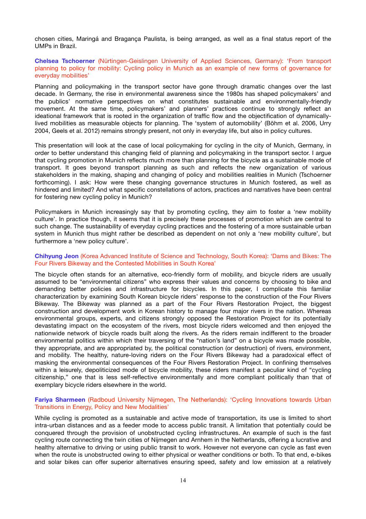chosen cities, Maringá and Bragança Paulista, is being arranged, as well as a final status report of the UMPs in Brazil.

# **Chelsea Tschoerner** (Nürtingen-Geislingen University of Applied Sciences, Germany): 'From transport planning to policy for mobility: Cycling policy in Munich as an example of new forms of governance for everyday mobilities'

Planning and policymaking in the transport sector have gone through dramatic changes over the last decade. In Germany, the rise in environmental awareness since the 1980s has shaped policymakers' and the publics' normative perspectives on what constitutes sustainable and environmentally-friendly movement. At the same time, policymakers' and planners' practices continue to strongly reflect an ideational framework that is rooted in the organization of traffic flow and the objectification of dynamicallylived mobilities as measurable objects for planning. The 'system of automobility' (Böhm et al. 2006, Urry 2004, Geels et al. 2012) remains strongly present, not only in everyday life, but also in policy cultures.

This presentation will look at the case of local policymaking for cycling in the city of Munich, Germany, in order to better understand this changing field of planning and policymaking in the transport sector. I argue that cycling promotion in Munich reflects much more than planning for the bicycle as a sustainable mode of transport. It goes beyond transport planning as such and reflects the new organization of various stakeholders in the making, shaping and changing of policy and mobilities realities in Munich (Tschoerner forthcoming). I ask: How were these changing governance structures in Munich fostered, as well as hindered and limited? And what specific constellations of actors, practices and narratives have been central for fostering new cycling policy in Munich?

Policymakers in Munich increasingly say that by promoting cycling, they aim to foster a 'new mobility culture'. In practice though, it seems that it is precisely these processes of promotion which are central to such change. The sustainability of everyday cycling practices and the fostering of a more sustainable urban system in Munich thus might rather be described as dependent on not only a 'new mobility culture', but furthermore a 'new policy culture'.

#### **Chihyung Jeon** (Korea Advanced Institute of Science and Technology, South Korea): 'Dams and Bikes: The Four Rivers Bikeway and the Contested Mobilities in South Korea'

The bicycle often stands for an alternative, eco-friendly form of mobility, and bicycle riders are usually assumed to be "environmental citizens" who express their values and concerns by choosing to bike and demanding better policies and infrastructure for bicycles. In this paper, I complicate this familiar characterization by examining South Korean bicycle riders' response to the construction of the Four Rivers Bikeway. The Bikeway was planned as a part of the Four Rivers Restoration Project, the biggest construction and development work in Korean history to manage four major rivers in the nation. Whereas environmental groups, experts, and citizens strongly opposed the Restoration Project for its potentially devastating impact on the ecosystem of the rivers, most bicycle riders welcomed and then enjoyed the nationwide network of bicycle roads built along the rivers. As the riders remain indifferent to the broader environmental politics within which their traversing of the "nation's land" on a bicycle was made possible, they appropriate, and are appropriated by, the political construction (or destruction) of rivers, environment, and mobility. The healthy, nature-loving riders on the Four Rivers Bikeway had a paradoxical effect of masking the environmental consequences of the Four Rivers Restoration Project. In confining themselves within a leisurely, depoliticized mode of bicycle mobility, these riders manifest a peculiar kind of "cycling citizenship," one that is less self-reflective environmentally and more compliant politically than that of exemplary bicycle riders elsewhere in the world.

### **Fariya Sharmeen** (Radboud University Nijmegen, The Netherlands): 'Cycling Innovations towards Urban Transitions in Energy, Policy and New Modalities'

While cycling is promoted as a sustainable and active mode of transportation, its use is limited to short intra-urban distances and as a feeder mode to access public transit. A limitation that potentially could be conquered through the provision of unobstructed cycling infrastructures. An example of such is the fast cycling route connecting the twin cities of Nijmegen and Arnhem in the Netherlands, offering a lucrative and healthy alternative to driving or using public transit to work. However not everyone can cycle as fast even when the route is unobstructed owing to either physical or weather conditions or both. To that end, e-bikes and solar bikes can offer superior alternatives ensuring speed, safety and low emission at a relatively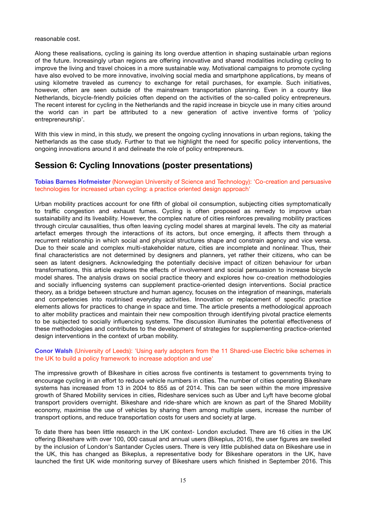reasonable cost.

Along these realisations, cycling is gaining its long overdue attention in shaping sustainable urban regions of the future. Increasingly urban regions are offering innovative and shared modalities including cycling to improve the living and travel choices in a more sustainable way. Motivational campaigns to promote cycling have also evolved to be more innovative, involving social media and smartphone applications, by means of using kilometre traveled as currency to exchange for retail purchases, for example. Such initiatives, however, often are seen outside of the mainstream transportation planning. Even in a country like Netherlands, bicycle-friendly policies often depend on the activities of the so-called policy entrepreneurs. The recent interest for cycling in the Netherlands and the rapid increase in bicycle use in many cities around the world can in part be attributed to a new generation of active inventive forms of 'policy entrepreneurship'.

With this view in mind, in this study, we present the ongoing cycling innovations in urban regions, taking the Netherlands as the case study. Further to that we highlight the need for specific policy interventions, the ongoing innovations around it and delineate the role of policy entrepreneurs.

# **Session 6: Cycling Innovations (poster presentations)**

**Tobias Barnes Hofmeister** (Norwegian University of Science and Technology): 'Co-creation and persuasive technologies for increased urban cycling: a practice oriented design approach'

Urban mobility practices account for one fifth of global oil consumption, subjecting cities symptomatically to traffic congestion and exhaust fumes. Cycling is often proposed as remedy to improve urban sustainability and its liveability. However, the complex nature of cities reinforces prevailing mobility practices through circular causalities, thus often leaving cycling model shares at marginal levels. The city as material artefact emerges through the interactions of its actors, but once emerging, it affects them through a recurrent relationship in which social and physical structures shape and constrain agency and vice versa. Due to their scale and complex multi-stakeholder nature, cities are incomplete and nonlinear. Thus, their final characteristics are not determined by designers and planners, yet rather their citizens, who can be seen as latent designers. Acknowledging the potentially decisive impact of citizen behaviour for urban transformations, this article explores the effects of involvement and social persuasion to increase bicycle model shares. The analysis draws on social practice theory and explores how co-creation methodologies and socially influencing systems can supplement practice-oriented design interventions. Social practice theory, as a bridge between structure and human agency, focuses on the integration of meanings, materials and competencies into routinised everyday activities. Innovation or replacement of specific practice elements allows for practices to change in space and time. The article presents a methodological approach to alter mobility practices and maintain their new composition through identifying pivotal practice elements to be subjected to socially influencing systems. The discussion illuminates the potential effectiveness of these methodologies and contributes to the development of strategies for supplementing practice-oriented design interventions in the context of urban mobility.

# **Conor Walsh** (University of Leeds): 'Using early adopters from the 11 Shared-use Electric bike schemes in the UK to build a policy framework to increase adoption and use'

The impressive growth of Bikeshare in cities across five continents is testament to governments trying to encourage cycling in an effort to reduce vehicle numbers in cities. The number of cities operating Bikeshare systems has increased from 13 in 2004 to 855 as of 2014. This can be seen within the more impressive growth of Shared Mobility services in cities, Rideshare services such as Uber and Lyft have become global transport providers overnight. Bikeshare and ride-share which are known as part of the Shared Mobility economy, maximise the use of vehicles by sharing them among multiple users, increase the number of transport options, and reduce transportation costs for users and society at large.

To date there has been little research in the UK context- London excluded. There are 16 cities in the UK offering Bikeshare with over 100, 000 casual and annual users (Bikeplus, 2016), the user figures are swelled by the inclusion of London's Santander Cycles users. There is very little published data on Bikeshare use in the UK, this has changed as Bikeplus, a representative body for Bikeshare operators in the UK, have launched the first UK wide monitoring survey of Bikeshare users which finished in September 2016. This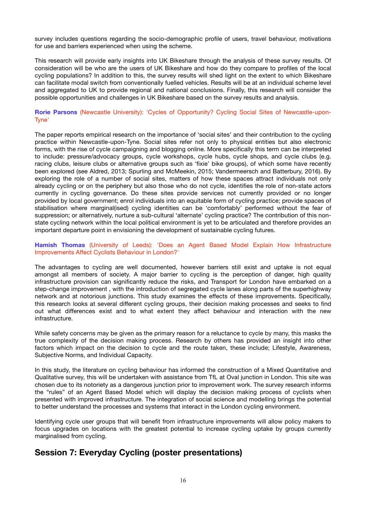survey includes questions regarding the socio-demographic profile of users, travel behaviour, motivations for use and barriers experienced when using the scheme.

This research will provide early insights into UK Bikeshare through the analysis of these survey results. Of consideration will be who are the users of UK Bikeshare and how do they compare to profiles of the local cycling populations? In addition to this, the survey results will shed light on the extent to which Bikeshare can facilitate modal switch from conventionally fuelled vehicles. Results will be at an individual scheme level and aggregated to UK to provide regional and national conclusions. Finally, this research will consider the possible opportunities and challenges in UK Bikeshare based on the survey results and analysis.

# **Rorie Parsons** (Newcastle University): 'Cycles of Opportunity? Cycling Social Sites of Newcastle-upon-Tyne'

The paper reports empirical research on the importance of 'social sites' and their contribution to the cycling practice within Newcastle-upon-Tyne. Social sites refer not only to physical entities but also electronic forms, with the rise of cycle campaigning and blogging online. More specifically this term can be interpreted to include: pressure/advocacy groups, cycle workshops, cycle hubs, cycle shops, and cycle clubs (e.g. racing clubs, leisure clubs or alternative groups such as 'fixie' bike groups), of which some have recently been explored (see Aldred, 2013; Spurling and McMeekin, 2015; Vandermeersch and Batterbury, 2016). By exploring the role of a number of social sites, matters of how these spaces attract individuals not only already cycling or on the periphery but also those who do not cycle, identifies the role of non-state actors currently in cycling governance. Do these sites provide services not currently provided or no longer provided by local government; enrol individuals into an equitable form of cycling practice; provide spaces of stabilisation where marginal(ised) cycling identities can be 'comfortably' performed without the fear of suppression; or alternatively, nurture a sub-cultural 'alternate' cycling practice? The contribution of this nonstate cycling network within the local political environment is yet to be articulated and therefore provides an important departure point in envisioning the development of sustainable cycling futures.

# **Hamish Thomas** (University of Leeds): 'Does an Agent Based Model Explain How Infrastructure Improvements Affect Cyclists Behaviour in London?'

The advantages to cycling are well documented, however barriers still exist and uptake is not equal amongst all members of society. A major barrier to cycling is the perception of danger, high quality infrastructure provision can significantly reduce the risks, and Transport for London have embarked on a step-change improvement , with the introduction of segregated cycle lanes along parts of the superhighway network and at notorious junctions. This study examines the effects of these improvements. Specifically, this research looks at several different cycling groups, their decision making processes and seeks to find out what differences exist and to what extent they affect behaviour and interaction with the new infrastructure.

While safety concerns may be given as the primary reason for a reluctance to cycle by many, this masks the true complexity of the decision making process. Research by others has provided an insight into other factors which impact on the decision to cycle and the route taken, these include; Lifestyle, Awareness, Subjective Norms, and Individual Capacity.

In this study, the literature on cycling behaviour has informed the construction of a Mixed Quantitative and Qualitative survey, this will be undertaken with assistance from TfL at Oval junction in London. This site was chosen due to its notoriety as a dangerous junction prior to improvement work. The survey research informs the "rules" of an Agent Based Model which will display the decision making process of cyclists when presented with improved infrastructure. The integration of social science and modelling brings the potential to better understand the processes and systems that interact in the London cycling environment.

Identifying cycle user groups that will benefit from infrastructure improvements will allow policy makers to focus upgrades on locations with the greatest potential to increase cycling uptake by groups currently marginalised from cycling.

# **Session 7: Everyday Cycling (poster presentations)**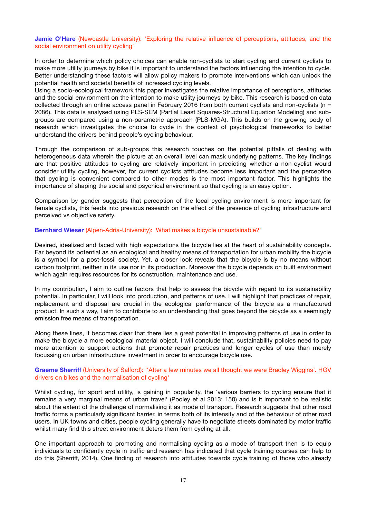# **Jamie O'Hare** (Newcastle University): 'Exploring the relative influence of perceptions, attitudes, and the social environment on utility cycling'

In order to determine which policy choices can enable non-cyclists to start cycling and current cyclists to make more utility journeys by bike it is important to understand the factors influencing the intention to cycle. Better understanding these factors will allow policy makers to promote interventions which can unlock the potential health and societal benefits of increased cycling levels.

Using a socio-ecological framework this paper investigates the relative importance of perceptions, attitudes and the social environment on the intention to make utility journeys by bike. This research is based on data collected through an online access panel in February 2016 from both current cyclists and non-cyclists ( $n =$ 2086). This data is analysed using PLS-SEM (Partial Least Squares-Structural Equation Modeling) and subgroups are compared using a non-parametric approach (PLS-MGA). This builds on the growing body of research which investigates the choice to cycle in the context of psychological frameworks to better understand the drivers behind people's cycling behaviour.

Through the comparison of sub-groups this research touches on the potential pitfalls of dealing with heterogeneous data wherein the picture at an overall level can mask underlying patterns. The key findings are that positive attitudes to cycling are relatively important in predicting whether a non-cyclist would consider utility cycling, however, for current cyclists attitudes become less important and the perception that cycling is convenient compared to other modes is the most important factor. This highlights the importance of shaping the social and psychical environment so that cycling is an easy option.

Comparison by gender suggests that perception of the local cycling environment is more important for female cyclists, this feeds into previous research on the effect of the presence of cycling infrastructure and perceived vs objective safety.

### **Bernhard Wieser** (Alpen-Adria-University): 'What makes a bicycle unsustainable?'

Desired, idealized and faced with high expectations the bicycle lies at the heart of sustainability concepts. Far beyond its potential as an ecological and healthy means of transportation for urban mobility the bicycle is a symbol for a post-fossil society. Yet, a closer look reveals that the bicycle is by no means without carbon footprint, neither in its use nor in its production. Moreover the bicycle depends on built environment which again requires resources for its construction, maintenance and use.

In my contribution, I aim to outline factors that help to assess the bicycle with regard to its sustainability potential. In particular, I will look into production, and patterns of use. I will highlight that practices of repair, replacement and disposal are crucial in the ecological performance of the bicycle as a manufactured product. In such a way, I aim to contribute to an understanding that goes beyond the bicycle as a seemingly emission free means of transportation.

Along these lines, it becomes clear that there lies a great potential in improving patterns of use in order to make the bicycle a more ecological material object. I will conclude that, sustainability policies need to pay more attention to support actions that promote repair practices and longer cycles of use than merely focussing on urban infrastructure investment in order to encourage bicycle use.

# **Graeme Sherriff** (University of Salford): ''After a few minutes we all thought we were Bradley Wiggins'. HGV drivers on bikes and the normalisation of cycling'

Whilst cycling, for sport and utility, is gaining in popularity, the 'various barriers to cycling ensure that it remains a very marginal means of urban travel' (Pooley et al 2013: 150) and is it important to be realistic about the extent of the challenge of normalising it as mode of transport. Research suggests that other road traffic forms a particularly significant barrier, in terms both of its intensity and of the behaviour of other road users. In UK towns and cities, people cycling generally have to negotiate streets dominated by motor traffic whilst many find this street environment deters them from cycling at all.

One important approach to promoting and normalising cycling as a mode of transport then is to equip individuals to confidently cycle in traffic and research has indicated that cycle training courses can help to do this (Sherriff, 2014). One finding of research into attitudes towards cycle training of those who already